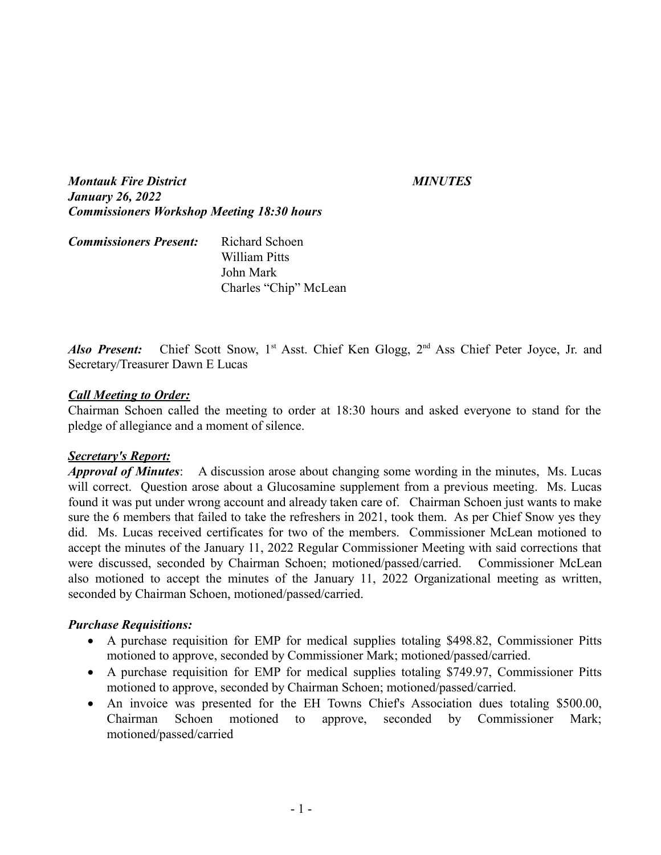*Montauk Fire District MINUTES January 26, 2022 Commissioners Workshop Meeting 18:30 hours*

| <b>Commissioners Present:</b> | Richard Schoen        |
|-------------------------------|-----------------------|
|                               | William Pitts         |
|                               | John Mark             |
|                               | Charles "Chip" McLean |

Also Present: Chief Scott Snow, 1<sup>st</sup> Asst. Chief Ken Glogg, 2<sup>nd</sup> Ass Chief Peter Joyce, Jr. and Secretary/Treasurer Dawn E Lucas

### *Call Meeting to Order:*

Chairman Schoen called the meeting to order at 18:30 hours and asked everyone to stand for the pledge of allegiance and a moment of silence.

### *Secretary's Report:*

*Approval of Minutes*: A discussion arose about changing some wording in the minutes, Ms. Lucas will correct. Question arose about a Glucosamine supplement from a previous meeting. Ms. Lucas found it was put under wrong account and already taken care of. Chairman Schoen just wants to make sure the 6 members that failed to take the refreshers in 2021, took them. As per Chief Snow yes they did. Ms. Lucas received certificates for two of the members. Commissioner McLean motioned to accept the minutes of the January 11, 2022 Regular Commissioner Meeting with said corrections that were discussed, seconded by Chairman Schoen; motioned/passed/carried. Commissioner McLean also motioned to accept the minutes of the January 11, 2022 Organizational meeting as written, seconded by Chairman Schoen, motioned/passed/carried.

### *Purchase Requisitions:*

- A purchase requisition for EMP for medical supplies totaling \$498.82, Commissioner Pitts motioned to approve, seconded by Commissioner Mark; motioned/passed/carried.
- A purchase requisition for EMP for medical supplies totaling \$749.97, Commissioner Pitts motioned to approve, seconded by Chairman Schoen; motioned/passed/carried.
- An invoice was presented for the EH Towns Chief's Association dues totaling \$500.00, Chairman Schoen motioned to approve, seconded by Commissioner Mark; motioned/passed/carried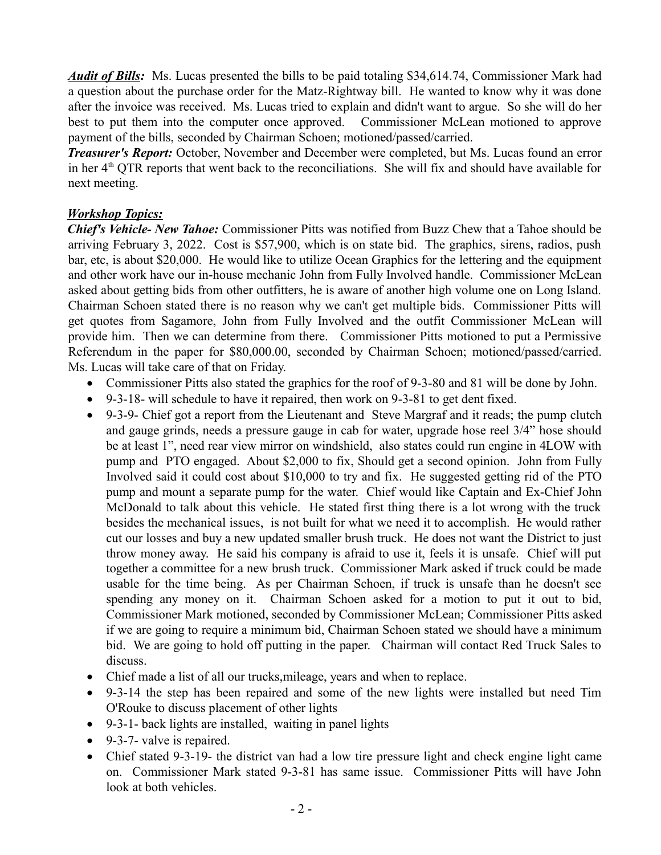*Audit of Bills:* Ms. Lucas presented the bills to be paid totaling \$34,614.74, Commissioner Mark had a question about the purchase order for the Matz-Rightway bill. He wanted to know why it was done after the invoice was received. Ms. Lucas tried to explain and didn't want to argue. So she will do her best to put them into the computer once approved. Commissioner McLean motioned to approve payment of the bills, seconded by Chairman Schoen; motioned/passed/carried.

*Treasurer's Report:* October, November and December were completed, but Ms. Lucas found an error in her  $4<sup>th</sup> QTR$  reports that went back to the reconciliations. She will fix and should have available for next meeting.

# *Workshop Topics:*

*Chief's Vehicle- New Tahoe:* Commissioner Pitts was notified from Buzz Chew that a Tahoe should be arriving February 3, 2022. Cost is \$57,900, which is on state bid. The graphics, sirens, radios, push bar, etc, is about \$20,000. He would like to utilize Ocean Graphics for the lettering and the equipment and other work have our in-house mechanic John from Fully Involved handle. Commissioner McLean asked about getting bids from other outfitters, he is aware of another high volume one on Long Island. Chairman Schoen stated there is no reason why we can't get multiple bids. Commissioner Pitts will get quotes from Sagamore, John from Fully Involved and the outfit Commissioner McLean will provide him. Then we can determine from there. Commissioner Pitts motioned to put a Permissive Referendum in the paper for \$80,000.00, seconded by Chairman Schoen; motioned/passed/carried. Ms. Lucas will take care of that on Friday.

- Commissioner Pitts also stated the graphics for the roof of 9-3-80 and 81 will be done by John.
- 9-3-18- will schedule to have it repaired, then work on 9-3-81 to get dent fixed.
- 9-3-9- Chief got a report from the Lieutenant and Steve Margraf and it reads; the pump clutch and gauge grinds, needs a pressure gauge in cab for water, upgrade hose reel 3/4" hose should be at least 1", need rear view mirror on windshield, also states could run engine in 4LOW with pump and PTO engaged. About \$2,000 to fix, Should get a second opinion. John from Fully Involved said it could cost about \$10,000 to try and fix. He suggested getting rid of the PTO pump and mount a separate pump for the water. Chief would like Captain and Ex-Chief John McDonald to talk about this vehicle. He stated first thing there is a lot wrong with the truck besides the mechanical issues, is not built for what we need it to accomplish. He would rather cut our losses and buy a new updated smaller brush truck. He does not want the District to just throw money away. He said his company is afraid to use it, feels it is unsafe. Chief will put together a committee for a new brush truck. Commissioner Mark asked if truck could be made usable for the time being. As per Chairman Schoen, if truck is unsafe than he doesn't see spending any money on it. Chairman Schoen asked for a motion to put it out to bid, Commissioner Mark motioned, seconded by Commissioner McLean; Commissioner Pitts asked if we are going to require a minimum bid, Chairman Schoen stated we should have a minimum bid. We are going to hold off putting in the paper. Chairman will contact Red Truck Sales to discuss.
- Chief made a list of all our trucks,mileage, years and when to replace.
- 9-3-14 the step has been repaired and some of the new lights were installed but need Tim O'Rouke to discuss placement of other lights
- 9-3-1- back lights are installed, waiting in panel lights
- 9-3-7- valve is repaired.
- Chief stated 9-3-19- the district van had a low tire pressure light and check engine light came on. Commissioner Mark stated 9-3-81 has same issue. Commissioner Pitts will have John look at both vehicles.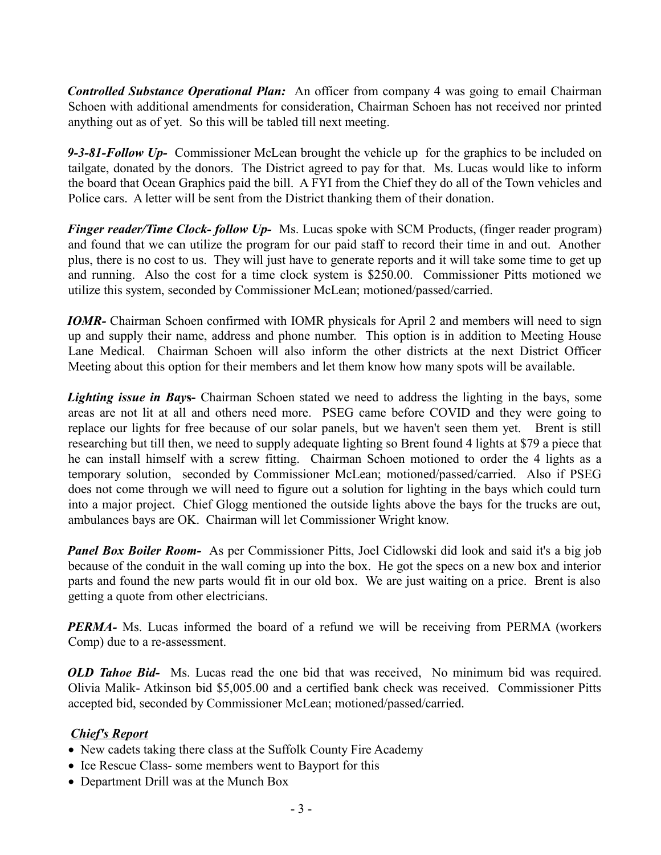*Controlled Substance Operational Plan:* An officer from company 4 was going to email Chairman Schoen with additional amendments for consideration, Chairman Schoen has not received nor printed anything out as of yet. So this will be tabled till next meeting.

*9-3-81-Follow Up-* Commissioner McLean brought the vehicle up for the graphics to be included on tailgate, donated by the donors. The District agreed to pay for that. Ms. Lucas would like to inform the board that Ocean Graphics paid the bill. A FYI from the Chief they do all of the Town vehicles and Police cars. A letter will be sent from the District thanking them of their donation.

*Finger reader/Time Clock- follow Up-* Ms. Lucas spoke with SCM Products, (finger reader program) and found that we can utilize the program for our paid staff to record their time in and out. Another plus, there is no cost to us. They will just have to generate reports and it will take some time to get up and running. Also the cost for a time clock system is \$250.00. Commissioner Pitts motioned we utilize this system, seconded by Commissioner McLean; motioned/passed/carried.

*IOMR*- Chairman Schoen confirmed with IOMR physicals for April 2 and members will need to sign up and supply their name, address and phone number. This option is in addition to Meeting House Lane Medical. Chairman Schoen will also inform the other districts at the next District Officer Meeting about this option for their members and let them know how many spots will be available.

*Lighting issue in Bay***s-** Chairman Schoen stated we need to address the lighting in the bays, some areas are not lit at all and others need more. PSEG came before COVID and they were going to replace our lights for free because of our solar panels, but we haven't seen them yet. Brent is still researching but till then, we need to supply adequate lighting so Brent found 4 lights at \$79 a piece that he can install himself with a screw fitting. Chairman Schoen motioned to order the 4 lights as a temporary solution, seconded by Commissioner McLean; motioned/passed/carried. Also if PSEG does not come through we will need to figure out a solution for lighting in the bays which could turn into a major project. Chief Glogg mentioned the outside lights above the bays for the trucks are out, ambulances bays are OK. Chairman will let Commissioner Wright know.

*Panel Box Boiler Room-* As per Commissioner Pitts, Joel Cidlowski did look and said it's a big job because of the conduit in the wall coming up into the box. He got the specs on a new box and interior parts and found the new parts would fit in our old box. We are just waiting on a price. Brent is also getting a quote from other electricians.

**PERMA-** Ms. Lucas informed the board of a refund we will be receiving from PERMA (workers Comp) due to a re-assessment.

*OLD Tahoe Bid-* Ms. Lucas read the one bid that was received, No minimum bid was required. Olivia Malik- Atkinson bid \$5,005.00 and a certified bank check was received. Commissioner Pitts accepted bid, seconded by Commissioner McLean; motioned/passed/carried.

## *Chief's Report*

- New cadets taking there class at the Suffolk County Fire Academy
- Ice Rescue Class- some members went to Bayport for this
- · Department Drill was at the Munch Box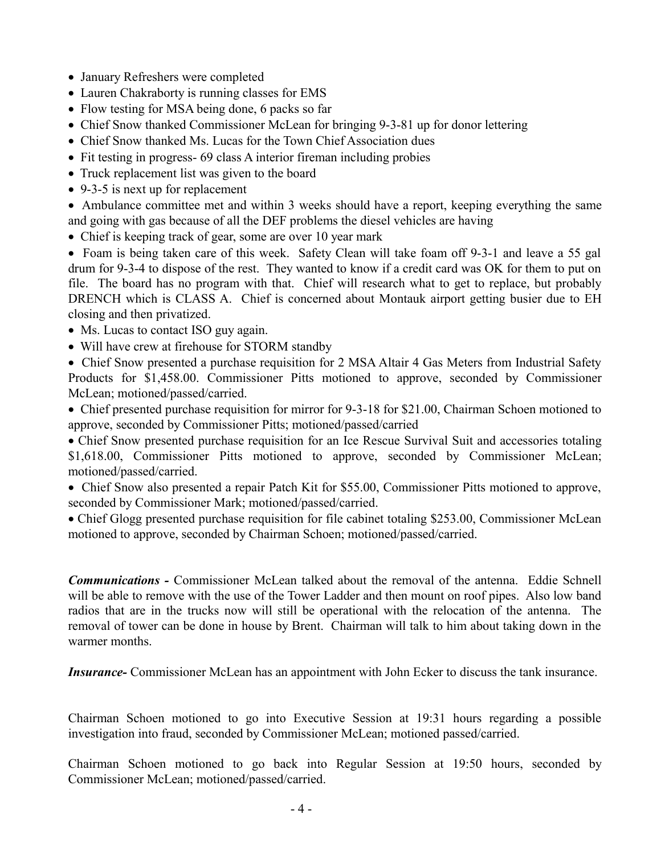- · January Refreshers were completed
- Lauren Chakraborty is running classes for EMS
- Flow testing for MSA being done, 6 packs so far
- · Chief Snow thanked Commissioner McLean for bringing 9-3-81 up for donor lettering
- Chief Snow thanked Ms. Lucas for the Town Chief Association dues
- Fit testing in progress- 69 class A interior fireman including probies
- Truck replacement list was given to the board
- · 9-3-5 is next up for replacement

· Ambulance committee met and within 3 weeks should have a report, keeping everything the same and going with gas because of all the DEF problems the diesel vehicles are having

• Chief is keeping track of gear, some are over 10 year mark

• Foam is being taken care of this week. Safety Clean will take foam off 9-3-1 and leave a 55 gal drum for 9-3-4 to dispose of the rest. They wanted to know if a credit card was OK for them to put on file. The board has no program with that. Chief will research what to get to replace, but probably DRENCH which is CLASS A. Chief is concerned about Montauk airport getting busier due to EH closing and then privatized.

- Ms. Lucas to contact ISO guy again.
- · Will have crew at firehouse for STORM standby

• Chief Snow presented a purchase requisition for 2 MSA Altair 4 Gas Meters from Industrial Safety Products for \$1,458.00. Commissioner Pitts motioned to approve, seconded by Commissioner McLean; motioned/passed/carried.

· Chief presented purchase requisition for mirror for 9-3-18 for \$21.00, Chairman Schoen motioned to approve, seconded by Commissioner Pitts; motioned/passed/carried

· Chief Snow presented purchase requisition for an Ice Rescue Survival Suit and accessories totaling \$1,618.00, Commissioner Pitts motioned to approve, seconded by Commissioner McLean; motioned/passed/carried.

• Chief Snow also presented a repair Patch Kit for \$55.00, Commissioner Pitts motioned to approve, seconded by Commissioner Mark; motioned/passed/carried.

· Chief Glogg presented purchase requisition for file cabinet totaling \$253.00, Commissioner McLean motioned to approve, seconded by Chairman Schoen; motioned/passed/carried.

*Communications -* Commissioner McLean talked about the removal of the antenna. Eddie Schnell will be able to remove with the use of the Tower Ladder and then mount on roof pipes. Also low band radios that are in the trucks now will still be operational with the relocation of the antenna. The removal of tower can be done in house by Brent. Chairman will talk to him about taking down in the warmer months.

*Insurance-* Commissioner McLean has an appointment with John Ecker to discuss the tank insurance.

Chairman Schoen motioned to go into Executive Session at 19:31 hours regarding a possible investigation into fraud, seconded by Commissioner McLean; motioned passed/carried.

Chairman Schoen motioned to go back into Regular Session at 19:50 hours, seconded by Commissioner McLean; motioned/passed/carried.